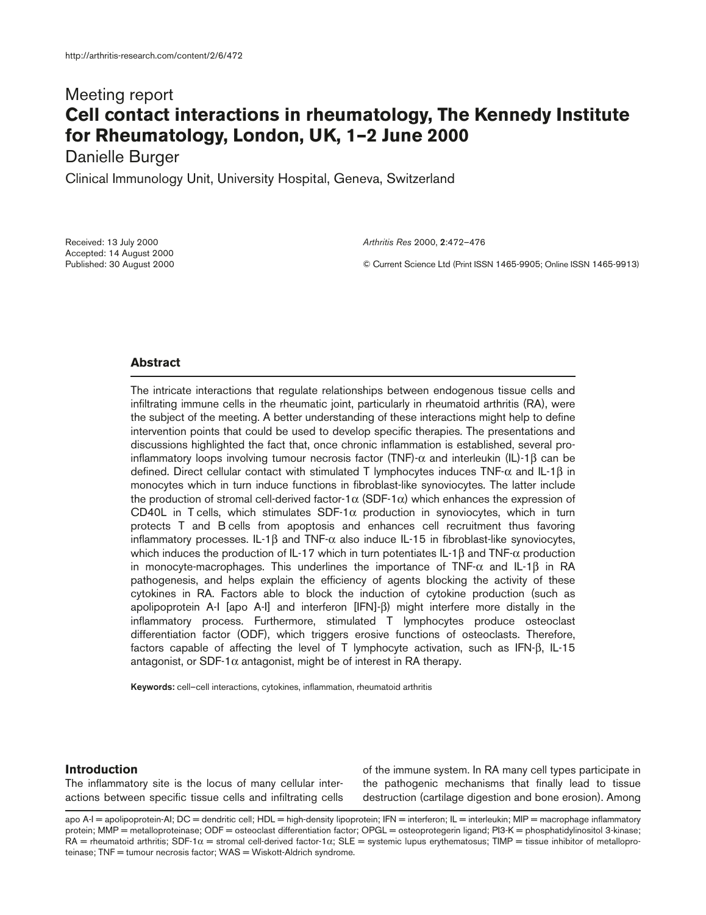# Meeting report **Cell contact interactions in rheumatology, The Kennedy Institute for Rheumatology, London, UK, 1–2 June 2000**

Danielle Burger

Clinical Immunology Unit, University Hospital, Geneva, Switzerland

Received: 13 July 2000 Accepted: 14 August 2000 Published: 30 August 2000 *Arthritis Res* 2000, **2**:472–476

© Current Science Ltd (Print ISSN 1465-9905; Online ISSN 1465-9913)

### **Abstract**

The intricate interactions that regulate relationships between endogenous tissue cells and infiltrating immune cells in the rheumatic joint, particularly in rheumatoid arthritis (RA), were the subject of the meeting. A better understanding of these interactions might help to define intervention points that could be used to develop specific therapies. The presentations and discussions highlighted the fact that, once chronic inflammation is established, several proinflammatory loops involving tumour necrosis factor (TNF)- $\alpha$  and interleukin (IL)-1β can be defined. Direct cellular contact with stimulated T lymphocytes induces TNF-α and IL-1β in monocytes which in turn induce functions in fibroblast-like synoviocytes. The latter include the production of stromal cell-derived factor-1α (SDF-1α) which enhances the expression of CD40L in T cells, which stimulates SDF-1α production in synoviocytes, which in turn protects T and B cells from apoptosis and enhances cell recruitment thus favoring inflammatory processes. IL-1β and TNF- $\alpha$  also induce IL-15 in fibroblast-like synoviocytes, which induces the production of IL-17 which in turn potentiates IL-1 $\beta$  and TNF- $\alpha$  production in monocyte-macrophages. This underlines the importance of TNF- $\alpha$  and IL-1 $\beta$  in RA pathogenesis, and helps explain the efficiency of agents blocking the activity of these cytokines in RA. Factors able to block the induction of cytokine production (such as apolipoprotein A-I [apo A-I] and interferon [IFN]-β) might interfere more distally in the inflammatory process. Furthermore, stimulated T lymphocytes produce osteoclast differentiation factor (ODF), which triggers erosive functions of osteoclasts. Therefore, factors capable of affecting the level of T lymphocyte activation, such as IFN-β, IL-15 antagonist, or SDF-1 $\alpha$  antagonist, might be of interest in RA therapy.

**Keywords:** cell–cell interactions, cytokines, inflammation, rheumatoid arthritis

## **Introduction**

The inflammatory site is the locus of many cellular interactions between specific tissue cells and infiltrating cells of the immune system. In RA many cell types participate in the pathogenic mechanisms that finally lead to tissue destruction (cartilage digestion and bone erosion). Among

apo A-I = apolipoprotein-AI; DC = dendritic cell; HDL = high-density lipoprotein; IFN = interferon; IL = interleukin; MIP = macrophage inflammatory protein; MMP = metalloproteinase; ODF = osteoclast differentiation factor; OPGL = osteoprotegerin ligand; PI3-K = phosphatidylinositol 3-kinase;  $RA$  = rheumatoid arthritis; SDF-1 $\alpha$  = stromal cell-derived factor-1 $\alpha$ ; SLE = systemic lupus erythematosus; TIMP = tissue inhibitor of metalloproteinase; TNF = tumour necrosis factor; WAS = Wiskott-Aldrich syndrome.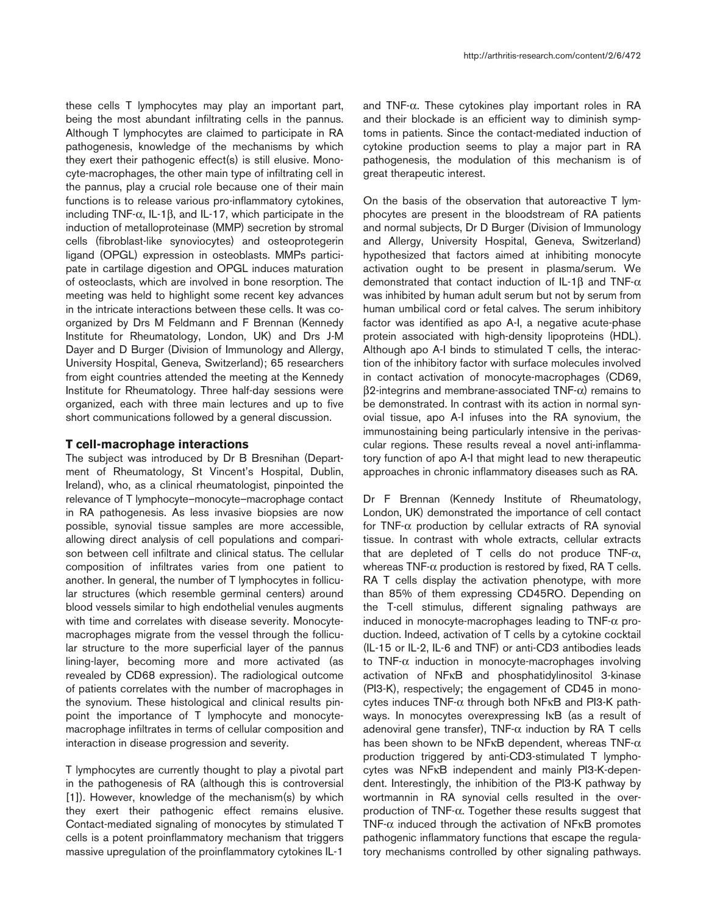these cells T lymphocytes may play an important part, being the most abundant infiltrating cells in the pannus. Although T lymphocytes are claimed to participate in RA pathogenesis, knowledge of the mechanisms by which they exert their pathogenic effect(s) is still elusive. Monocyte-macrophages, the other main type of infiltrating cell in the pannus, play a crucial role because one of their main functions is to release various pro-inflammatory cytokines, including TNF-α, IL-1β, and IL-17, which participate in the induction of metalloproteinase (MMP) secretion by stromal cells (fibroblast-like synoviocytes) and osteoprotegerin ligand (OPGL) expression in osteoblasts. MMPs participate in cartilage digestion and OPGL induces maturation of osteoclasts, which are involved in bone resorption. The meeting was held to highlight some recent key advances in the intricate interactions between these cells. It was coorganized by Drs M Feldmann and F Brennan (Kennedy Institute for Rheumatology, London, UK) and Drs J-M Dayer and D Burger (Division of Immunology and Allergy, University Hospital, Geneva, Switzerland); 65 researchers from eight countries attended the meeting at the Kennedy Institute for Rheumatology. Three half-day sessions were organized, each with three main lectures and up to five short communications followed by a general discussion.

#### **T cell-macrophage interactions**

The subject was introduced by Dr B Bresnihan (Department of Rheumatology, St Vincent's Hospital, Dublin, Ireland), who, as a clinical rheumatologist, pinpointed the relevance of T lymphocyte–monocyte–macrophage contact in RA pathogenesis. As less invasive biopsies are now possible, synovial tissue samples are more accessible, allowing direct analysis of cell populations and comparison between cell infiltrate and clinical status. The cellular composition of infiltrates varies from one patient to another. In general, the number of T lymphocytes in follicular structures (which resemble germinal centers) around blood vessels similar to high endothelial venules augments with time and correlates with disease severity. Monocytemacrophages migrate from the vessel through the follicular structure to the more superficial layer of the pannus lining-layer, becoming more and more activated (as revealed by CD68 expression). The radiological outcome of patients correlates with the number of macrophages in the synovium. These histological and clinical results pinpoint the importance of T lymphocyte and monocytemacrophage infiltrates in terms of cellular composition and interaction in disease progression and severity.

T lymphocytes are currently thought to play a pivotal part in the pathogenesis of RA (although this is controversial [1]). However, knowledge of the mechanism(s) by which they exert their pathogenic effect remains elusive. Contact-mediated signaling of monocytes by stimulated T cells is a potent proinflammatory mechanism that triggers massive upregulation of the proinflammatory cytokines IL-1

and TNF-α. These cytokines play important roles in RA and their blockade is an efficient way to diminish symptoms in patients. Since the contact-mediated induction of cytokine production seems to play a major part in RA pathogenesis, the modulation of this mechanism is of great therapeutic interest.

On the basis of the observation that autoreactive T lymphocytes are present in the bloodstream of RA patients and normal subjects, Dr D Burger (Division of Immunology and Allergy, University Hospital, Geneva, Switzerland) hypothesized that factors aimed at inhibiting monocyte activation ought to be present in plasma/serum. We demonstrated that contact induction of IL-1β and TNF-α was inhibited by human adult serum but not by serum from human umbilical cord or fetal calves. The serum inhibitory factor was identified as apo A-I, a negative acute-phase protein associated with high-density lipoproteins (HDL). Although apo A-I binds to stimulated T cells, the interaction of the inhibitory factor with surface molecules involved in contact activation of monocyte-macrophages (CD69,  $β2$ -integrins and membrane-associated TNF- $α$ ) remains to be demonstrated. In contrast with its action in normal synovial tissue, apo A-I infuses into the RA synovium, the immunostaining being particularly intensive in the perivascular regions. These results reveal a novel anti-inflammatory function of apo A-I that might lead to new therapeutic approaches in chronic inflammatory diseases such as RA.

Dr F Brennan (Kennedy Institute of Rheumatology, London, UK) demonstrated the importance of cell contact for TNF-α production by cellular extracts of RA synovial tissue. In contrast with whole extracts, cellular extracts that are depleted of T cells do not produce TNF-α, whereas TNF- $\alpha$  production is restored by fixed, RA T cells. RA T cells display the activation phenotype, with more than 85% of them expressing CD45RO. Depending on the T-cell stimulus, different signaling pathways are induced in monocyte-macrophages leading to TNF-α production. Indeed, activation of T cells by a cytokine cocktail (IL-15 or IL-2, IL-6 and TNF) or anti-CD3 antibodies leads to TNF- $\alpha$  induction in monocyte-macrophages involving activation of NFκB and phosphatidylinositol 3-kinase (PI3-K), respectively; the engagement of CD45 in monocytes induces TNF-α through both NFκB and PI3-K pathways. In monocytes overexpressing IκB (as a result of adenoviral gene transfer), TNF- $\alpha$  induction by RA T cells has been shown to be NFκB dependent, whereas TNF-α production triggered by anti-CD3-stimulated T lymphocytes was NFκB independent and mainly PI3-K-dependent. Interestingly, the inhibition of the PI3-K pathway by wortmannin in RA synovial cells resulted in the overproduction of TNF-α. Together these results suggest that TNF- $\alpha$  induced through the activation of NF $\kappa$ B promotes pathogenic inflammatory functions that escape the regulatory mechanisms controlled by other signaling pathways.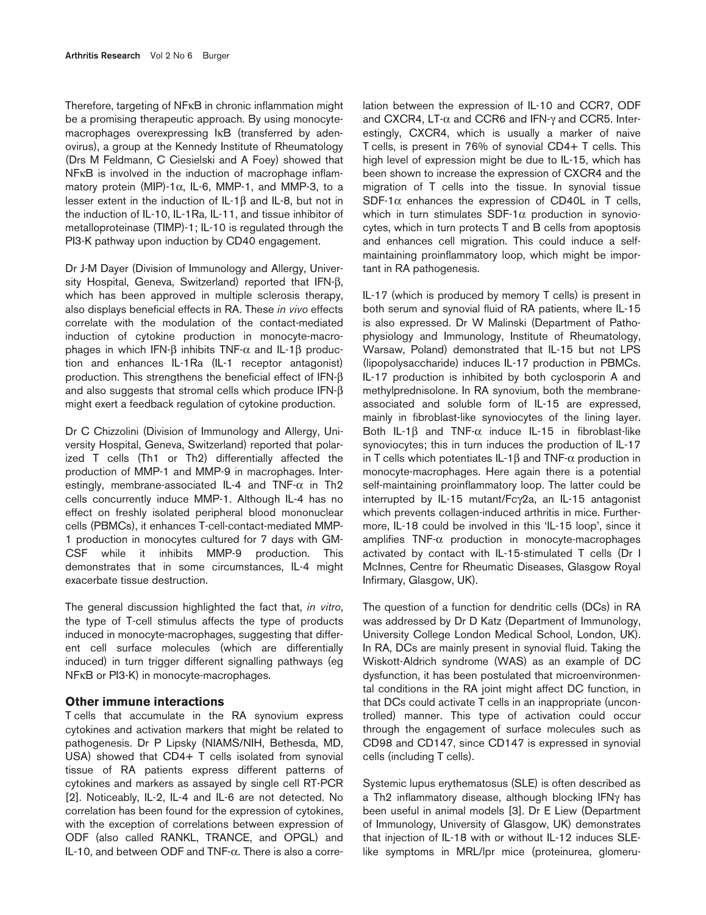Therefore, targeting of NFκB in chronic inflammation might be a promising therapeutic approach. By using monocytemacrophages overexpressing I<sub>KB</sub> (transferred by adenovirus), a group at the Kennedy Institute of Rheumatology (Drs M Feldmann, C Ciesielski and A Foey) showed that NFκB is involved in the induction of macrophage inflammatory protein (MIP)-1 $\alpha$ , IL-6, MMP-1, and MMP-3, to a lesser extent in the induction of IL-1β and IL-8, but not in the induction of IL-10, IL-1Ra, IL-11, and tissue inhibitor of metalloproteinase (TIMP)-1; IL-10 is regulated through the PI3-K pathway upon induction by CD40 engagement.

Dr J-M Dayer (Division of Immunology and Allergy, University Hospital, Geneva, Switzerland) reported that IFN-β, which has been approved in multiple sclerosis therapy, also displays beneficial effects in RA. These *in vivo* effects correlate with the modulation of the contact-mediated induction of cytokine production in monocyte-macrophages in which IFN-β inhibits TNF-α and IL-1β production and enhances IL-1Ra (IL-1 receptor antagonist) production. This strengthens the beneficial effect of IFN-β and also suggests that stromal cells which produce IFN-β might exert a feedback regulation of cytokine production.

Dr C Chizzolini (Division of Immunology and Allergy, University Hospital, Geneva, Switzerland) reported that polarized T cells (Th1 or Th2) differentially affected the production of MMP-1 and MMP-9 in macrophages. Interestingly, membrane-associated IL-4 and  $TNF-\alpha$  in Th2 cells concurrently induce MMP-1. Although IL-4 has no effect on freshly isolated peripheral blood mononuclear cells (PBMCs), it enhances T-cell-contact-mediated MMP-1 production in monocytes cultured for 7 days with GM-CSF while it inhibits MMP-9 production. This demonstrates that in some circumstances, IL-4 might exacerbate tissue destruction.

The general discussion highlighted the fact that, *in vitro*, the type of T-cell stimulus affects the type of products induced in monocyte-macrophages, suggesting that different cell surface molecules (which are differentially induced) in turn trigger different signalling pathways (eg NFκB or PI3-K) in monocyte-macrophages.

#### **Other immune interactions**

T cells that accumulate in the RA synovium express cytokines and activation markers that might be related to pathogenesis. Dr P Lipsky (NIAMS/NIH, Bethesda, MD, USA) showed that CD4+ T cells isolated from synovial tissue of RA patients express different patterns of cytokines and markers as assayed by single cell RT-PCR [2]. Noticeably, IL-2, IL-4 and IL-6 are not detected. No correlation has been found for the expression of cytokines, with the exception of correlations between expression of ODF (also called RANKL, TRANCE, and OPGL) and IL-10, and between ODF and TNF-α. There is also a correlation between the expression of IL-10 and CCR7, ODF and CXCR4, LT-α and CCR6 and IFN-γ and CCR5. Interestingly, CXCR4, which is usually a marker of naive T cells, is present in 76% of synovial CD4+ T cells. This high level of expression might be due to IL-15, which has been shown to increase the expression of CXCR4 and the migration of T cells into the tissue. In synovial tissue SDF-1 $\alpha$  enhances the expression of CD40L in T cells, which in turn stimulates SDF-1 $\alpha$  production in synoviocytes, which in turn protects T and B cells from apoptosis and enhances cell migration. This could induce a selfmaintaining proinflammatory loop, which might be important in RA pathogenesis.

IL-17 (which is produced by memory T cells) is present in both serum and synovial fluid of RA patients, where IL-15 is also expressed. Dr W Malinski (Department of Pathophysiology and Immunology, Institute of Rheumatology, Warsaw, Poland) demonstrated that IL-15 but not LPS (lipopolysaccharide) induces IL-17 production in PBMCs. IL-17 production is inhibited by both cyclosporin A and methylprednisolone. In RA synovium, both the membraneassociated and soluble form of IL-15 are expressed, mainly in fibroblast-like synoviocytes of the lining layer. Both IL-1β and TNF-α induce IL-15 in fibroblast-like synoviocytes; this in turn induces the production of IL-17 in T cells which potentiates IL-1β and TNF-α production in monocyte-macrophages. Here again there is a potential self-maintaining proinflammatory loop. The latter could be interrupted by IL-15 mutant/Fcγ2a, an IL-15 antagonist which prevents collagen-induced arthritis in mice. Furthermore, IL-18 could be involved in this 'IL-15 loop', since it amplifies  $TNF-\alpha$  production in monocyte-macrophages activated by contact with IL-15-stimulated T cells (Dr I McInnes, Centre for Rheumatic Diseases, Glasgow Royal Infirmary, Glasgow, UK).

The question of a function for dendritic cells (DCs) in RA was addressed by Dr D Katz (Department of Immunology, University College London Medical School, London, UK). In RA, DCs are mainly present in synovial fluid. Taking the Wiskott-Aldrich syndrome (WAS) as an example of DC dysfunction, it has been postulated that microenvironmental conditions in the RA joint might affect DC function, in that DCs could activate T cells in an inappropriate (uncontrolled) manner. This type of activation could occur through the engagement of surface molecules such as CD98 and CD147, since CD147 is expressed in synovial cells (including T cells).

Systemic lupus erythematosus (SLE) is often described as a Th2 inflammatory disease, although blocking IFNγ has been useful in animal models [3]. Dr E Liew (Department of Immunology, University of Glasgow, UK) demonstrates that injection of IL-18 with or without IL-12 induces SLElike symptoms in MRL/lpr mice (proteinurea, glomeru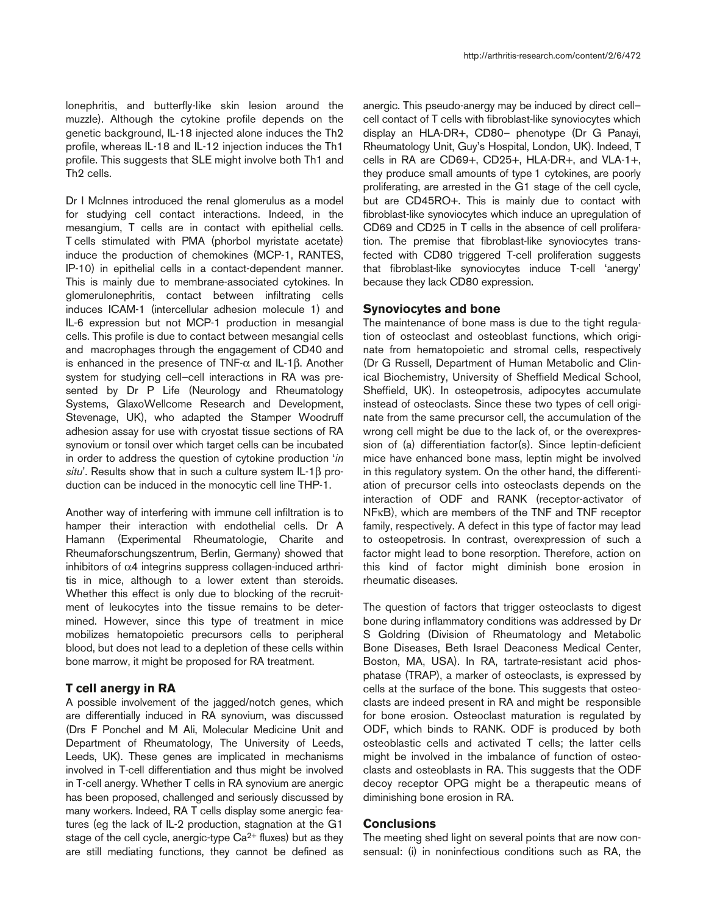lonephritis, and butterfly-like skin lesion around the muzzle). Although the cytokine profile depends on the genetic background, IL-18 injected alone induces the Th2 profile, whereas IL-18 and IL-12 injection induces the Th1 profile. This suggests that SLE might involve both Th1 and Th2 cells.

Dr I McInnes introduced the renal glomerulus as a model for studying cell contact interactions. Indeed, in the mesangium, T cells are in contact with epithelial cells. T cells stimulated with PMA (phorbol myristate acetate) induce the production of chemokines (MCP-1, RANTES, IP-10) in epithelial cells in a contact-dependent manner. This is mainly due to membrane-associated cytokines. In glomerulonephritis, contact between infiltrating cells induces ICAM-1 (intercellular adhesion molecule 1) and IL-6 expression but not MCP-1 production in mesangial cells. This profile is due to contact between mesangial cells and macrophages through the engagement of CD40 and is enhanced in the presence of TNF- $\alpha$  and IL-1β. Another system for studying cell–cell interactions in RA was presented by Dr P Life (Neurology and Rheumatology Systems, GlaxoWellcome Research and Development, Stevenage, UK), who adapted the Stamper Woodruff adhesion assay for use with cryostat tissue sections of RA synovium or tonsil over which target cells can be incubated in order to address the question of cytokine production '*in situ*'. Results show that in such a culture system IL-1β production can be induced in the monocytic cell line THP-1.

Another way of interfering with immune cell infiltration is to hamper their interaction with endothelial cells. Dr A Hamann (Experimental Rheumatologie, Charite and Rheumaforschungszentrum, Berlin, Germany) showed that inhibitors of  $\alpha$ 4 integrins suppress collagen-induced arthritis in mice, although to a lower extent than steroids. Whether this effect is only due to blocking of the recruitment of leukocytes into the tissue remains to be determined. However, since this type of treatment in mice mobilizes hematopoietic precursors cells to peripheral blood, but does not lead to a depletion of these cells within bone marrow, it might be proposed for RA treatment.

## **T cell anergy in RA**

A possible involvement of the jagged/notch genes, which are differentially induced in RA synovium, was discussed (Drs F Ponchel and M Ali, Molecular Medicine Unit and Department of Rheumatology, The University of Leeds, Leeds, UK). These genes are implicated in mechanisms involved in T-cell differentiation and thus might be involved in T-cell anergy. Whether T cells in RA synovium are anergic has been proposed, challenged and seriously discussed by many workers. Indeed, RA T cells display some anergic features (eg the lack of IL-2 production, stagnation at the G1 stage of the cell cycle, anergic-type  $Ca^{2+}$  fluxes) but as they are still mediating functions, they cannot be defined as anergic. This pseudo-anergy may be induced by direct cell– cell contact of T cells with fibroblast-like synoviocytes which display an HLA-DR+, CD80– phenotype (Dr G Panayi, Rheumatology Unit, Guy's Hospital, London, UK). Indeed, T cells in RA are CD69+, CD25+, HLA-DR+, and VLA-1+, they produce small amounts of type 1 cytokines, are poorly proliferating, are arrested in the G1 stage of the cell cycle, but are CD45RO+. This is mainly due to contact with fibroblast-like synoviocytes which induce an upregulation of CD69 and CD25 in T cells in the absence of cell proliferation. The premise that fibroblast-like synoviocytes transfected with CD80 triggered T-cell proliferation suggests that fibroblast-like synoviocytes induce T-cell 'anergy' because they lack CD80 expression.

## **Synoviocytes and bone**

The maintenance of bone mass is due to the tight regulation of osteoclast and osteoblast functions, which originate from hematopoietic and stromal cells, respectively (Dr G Russell, Department of Human Metabolic and Clinical Biochemistry, University of Sheffield Medical School, Sheffield, UK). In osteopetrosis, adipocytes accumulate instead of osteoclasts. Since these two types of cell originate from the same precursor cell, the accumulation of the wrong cell might be due to the lack of, or the overexpression of (a) differentiation factor(s). Since leptin-deficient mice have enhanced bone mass, leptin might be involved in this regulatory system. On the other hand, the differentiation of precursor cells into osteoclasts depends on the interaction of ODF and RANK (receptor-activator of NFκB), which are members of the TNF and TNF receptor family, respectively. A defect in this type of factor may lead to osteopetrosis. In contrast, overexpression of such a factor might lead to bone resorption. Therefore, action on this kind of factor might diminish bone erosion in rheumatic diseases.

The question of factors that trigger osteoclasts to digest bone during inflammatory conditions was addressed by Dr S Goldring (Division of Rheumatology and Metabolic Bone Diseases, Beth Israel Deaconess Medical Center, Boston, MA, USA). In RA, tartrate-resistant acid phosphatase (TRAP), a marker of osteoclasts, is expressed by cells at the surface of the bone. This suggests that osteoclasts are indeed present in RA and might be responsible for bone erosion. Osteoclast maturation is regulated by ODF, which binds to RANK. ODF is produced by both osteoblastic cells and activated T cells; the latter cells might be involved in the imbalance of function of osteoclasts and osteoblasts in RA. This suggests that the ODF decoy receptor OPG might be a therapeutic means of diminishing bone erosion in RA.

## **Conclusions**

The meeting shed light on several points that are now consensual: (i) in noninfectious conditions such as RA, the